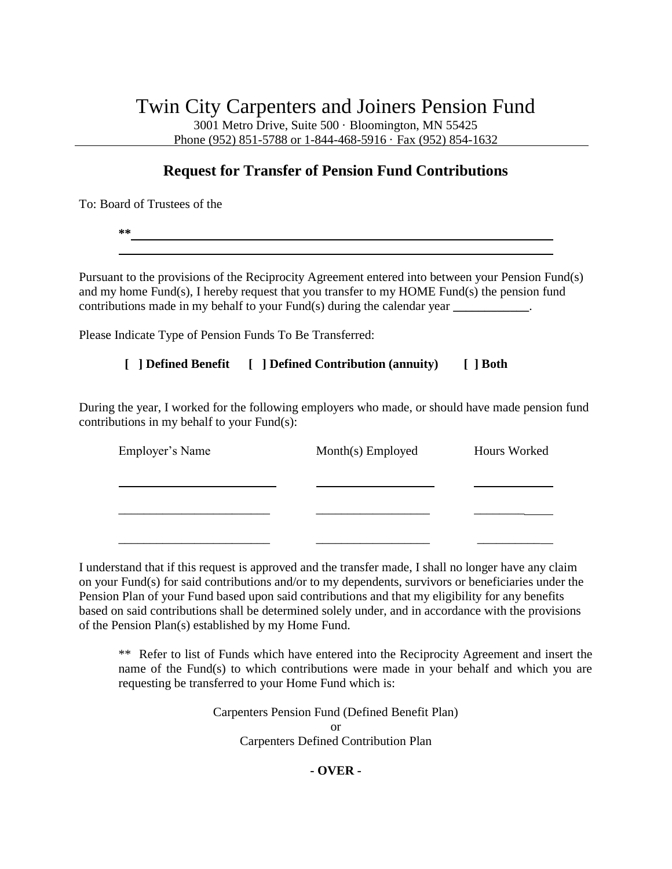## Twin City Carpenters and Joiners Pension Fund

3001 Metro Drive, Suite 500 · Bloomington, MN 55425 Phone (952) 851-5788 or 1-844-468-5916 · Fax (952) 854-1632

## **Request for Transfer of Pension Fund Contributions**

To: Board of Trustees of the

**\*\*** 

Pursuant to the provisions of the Reciprocity Agreement entered into between your Pension Fund(s) and my home Fund(s), I hereby request that you transfer to my HOME Fund(s) the pension fund contributions made in my behalf to your Fund(s) during the calendar year **\_\_\_\_\_\_\_\_\_\_\_\_**.

Please Indicate Type of Pension Funds To Be Transferred:

 **[ ] Defined Benefit [ ] Defined Contribution (annuity) [ ] Both**

During the year, I worked for the following employers who made, or should have made pension fund contributions in my behalf to your Fund(s):

| Employer's Name | Month(s) Employed | Hours Worked |
|-----------------|-------------------|--------------|
|                 |                   |              |
|                 |                   |              |
|                 |                   |              |
|                 |                   |              |

I understand that if this request is approved and the transfer made, I shall no longer have any claim on your Fund(s) for said contributions and/or to my dependents, survivors or beneficiaries under the Pension Plan of your Fund based upon said contributions and that my eligibility for any benefits based on said contributions shall be determined solely under, and in accordance with the provisions of the Pension Plan(s) established by my Home Fund.

\*\* Refer to list of Funds which have entered into the Reciprocity Agreement and insert the name of the Fund(s) to which contributions were made in your behalf and which you are requesting be transferred to your Home Fund which is:

> Carpenters Pension Fund (Defined Benefit Plan) or Carpenters Defined Contribution Plan

## **- OVER -**